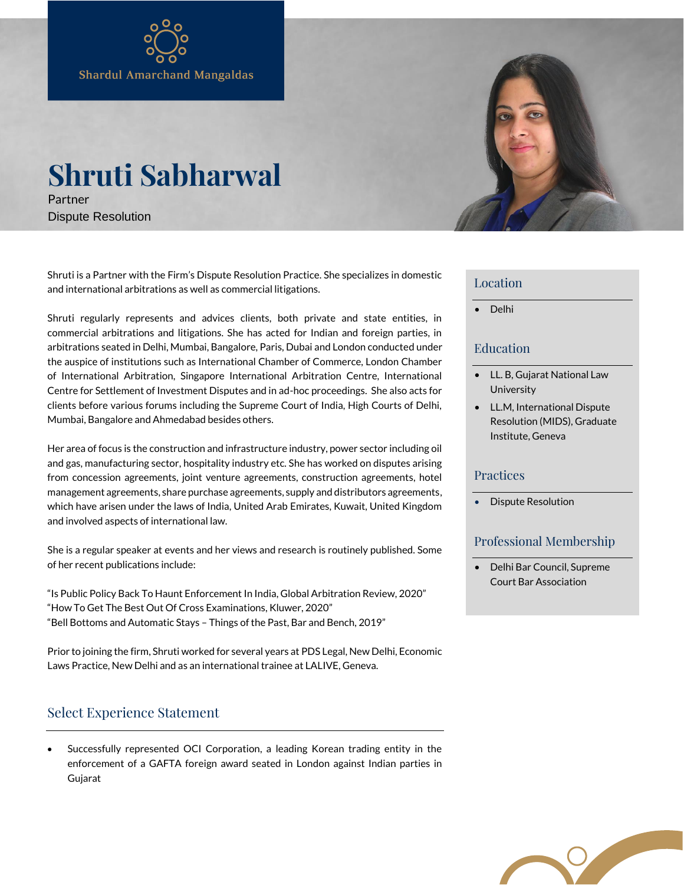# **Shruti Sabharwal**

Partner Dispute Resolution

Shruti is a Partner with the Firm's Dispute Resolution Practice. She specializes in domestic and international arbitrations as well as commercial litigations.

Shruti regularly represents and advices clients, both private and state entities, in commercial arbitrations and litigations. She has acted for Indian and foreign parties, in arbitrations seated in Delhi, Mumbai, Bangalore, Paris, Dubai and London conducted under the auspice of institutions such as International Chamber of Commerce, London Chamber of International Arbitration, Singapore International Arbitration Centre, International Centre for Settlement of Investment Disputes and in ad-hoc proceedings. She also acts for clients before various forums including the Supreme Court of India, High Courts of Delhi, Mumbai, Bangalore and Ahmedabad besides others.

Her area of focus is the construction and infrastructure industry, power sector including oil and gas, manufacturing sector, hospitality industry etc. She has worked on disputes arising from concession agreements, joint venture agreements, construction agreements, hotel management agreements, share purchase agreements, supply and distributors agreements, which have arisen under the laws of India, United Arab Emirates, Kuwait, United Kingdom and involved aspects of international law.

She is a regular speaker at events and her views and research is routinely published. Some of her recent publications include:

"Is Public Policy Back To Haunt Enforcement In India, Global Arbitration Review, 2020" "How To Get The Best Out Of Cross Examinations, Kluwer, 2020" "Bell Bottoms and Automatic Stays – Things of the Past, Bar and Bench, 2019"

Prior to joining the firm, Shruti worked for several years at PDS Legal, New Delhi, Economic Laws Practice, New Delhi and as an international trainee at LALIVE, Geneva.

# Select Experience Statement

 Successfully represented OCI Corporation, a leading Korean trading entity in the enforcement of a GAFTA foreign award seated in London against Indian parties in Gujarat



#### Location

• Delhi

### Education

- LL. B, Gujarat National Law **University**
- LL.M, International Dispute Resolution (MIDS), Graduate Institute, Geneva

#### Practices

• Dispute Resolution

## Professional Membership

• Delhi Bar Council, Supreme Court Bar Association